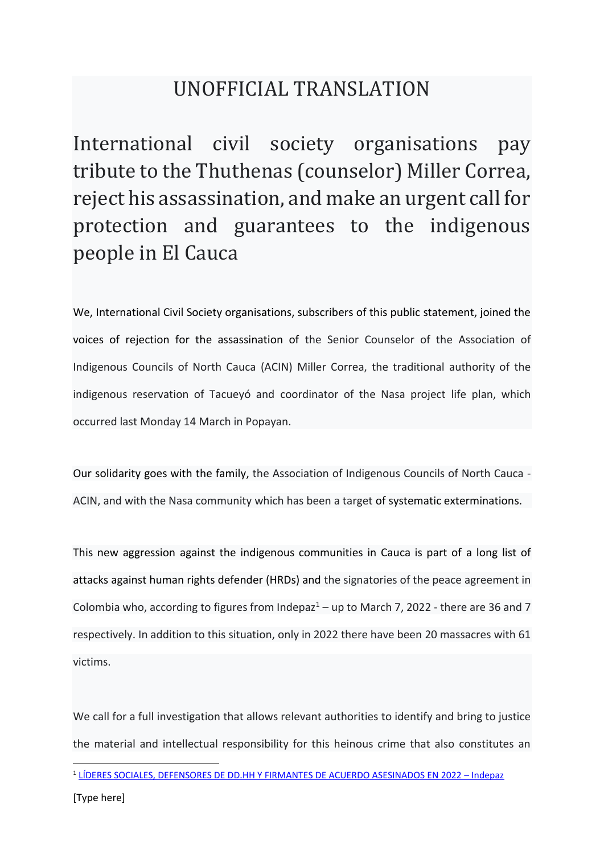## UNOFFICIAL TRANSLATION

International civil society organisations pay tribute to the Thuthenas (counselor) Miller Correa, reject his assassination, and make an urgent call for protection and guarantees to the indigenous people in El Cauca

We, International Civil Society organisations, subscribers of this public statement, joined the voices of rejection for the assassination of the Senior Counselor of the Association of Indigenous Councils of North Cauca (ACIN) Miller Correa, the traditional authority of the indigenous reservation of Tacueyó and coordinator of the Nasa project life plan, which occurred last Monday 14 March in Popayan.

Our solidarity goes with the family, the Association of Indigenous Councils of North Cauca - ACIN, and with the Nasa community which has been a target of systematic exterminations.

This new aggression against the indigenous communities in Cauca is part of a long list of attacks against human rights defender (HRDs) and the signatories of the peace agreement in Colombia who, according to figures from Indepaz<sup>1</sup> – up to March 7, 2022 - there are 36 and 7 respectively. In addition to this situation, only in 2022 there have been 20 massacres with 61 victims.

We call for a full investigation that allows relevant authorities to identify and bring to justice the material and intellectual responsibility for this heinous crime that also constitutes an

<sup>1</sup> [LÍDERES SOCIALES, DEFENSORES DE DD.HH Y FIRMANTES DE ACUERDO ASESINADOS EN 2022](https://indepaz.org.co/lideres-sociales-defensores-de-dd-hh-y-firmantes-de-acuerdo-asesinados-en-2022/) – Indepaz